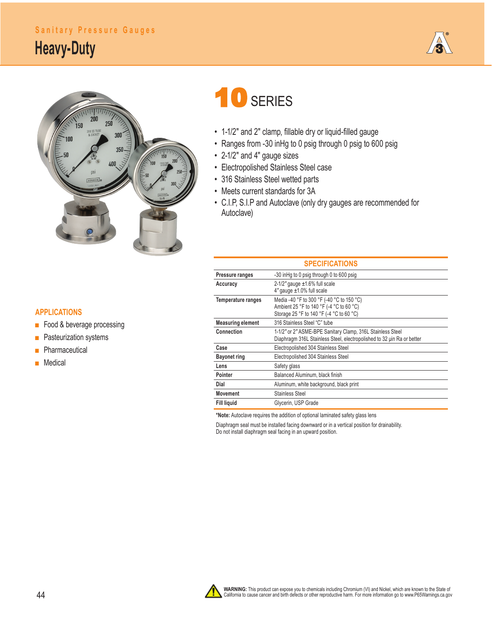### **Sanitary Pressure Gauges**

## **Heavy-Duty**





# 10 SERIES

- 1-1/2" and 2" clamp, fillable dry or liquid-filled gauge
- Ranges from -30 inHg to 0 psig through 0 psig to 600 psig
- 2-1/2" and 4" gauge sizes
- Electropolished Stainless Steel case
- 316 Stainless Steel wetted parts
- Meets current standards for 3A
- C.I.P, S.I.P and Autoclave (only dry gauges are recommended for Autoclave)

| . . |  |
|-----|--|

- Food & beverage processing
- Pasteurization systems
- **■** Pharmaceutical
- **■** Medical

#### **SPECIFICATIONS Pressure ranges** -30 inHg to 0 psig through 0 to 600 psig  **Accuracy** 2-1/2*"* gauge ±1.6% full scale 4*"* gauge ±1.0% full scale **Temperature ranges** Media -40 °F to 300 °F (-40 °C to 150 °C) Ambient 25 °F to 140 °F (-4 °C to 60 °C) Storage 25 °F to 140 °F (-4 °C to 60 °C) **Measuring element** 316 Stainless Steel "C" tube **Connection** 1-1/2*"* or 2*"* ASME-BPE Sanitary Clamp, 316L Stainless Steel Diaphragm 316L Stainless Steel, electropolished to 32 μin Ra or better  **Case** Electropolished 304 Stainless Steel **Bayonet ring** Electropolished 304 Stainless Steel Lens Safety glass Pointer **Balanced Aluminum, black finish Dial** Aluminum, white background, black print **Movement** Stainless Steel Fill liquid Glycerin, USP Grade

**\*Note:** Autoclave requires the addition of optional laminated safety glass lens

Diaphragm seal must be installed facing downward or in a vertical position for drainability. Do not install diaphragm seal facing in an upward position.